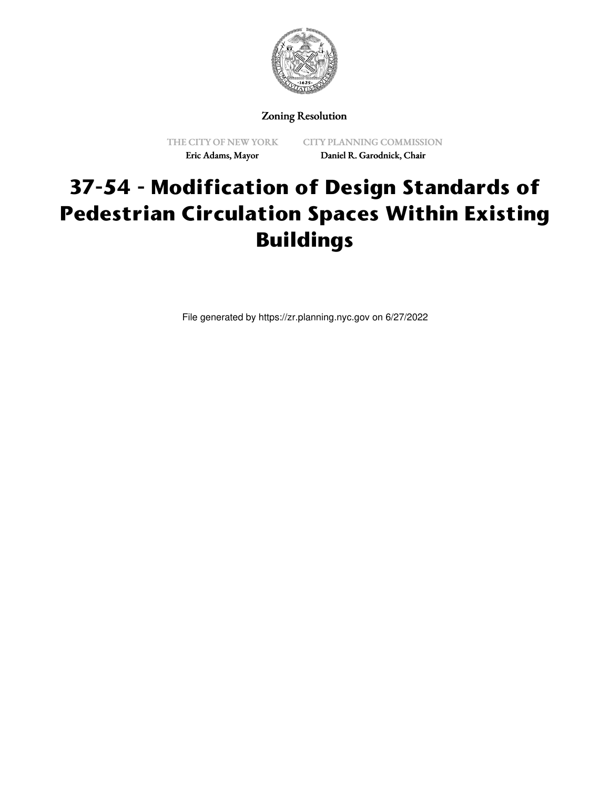

## Zoning Resolution

THE CITY OF NEW YORK Eric Adams, Mayor

CITY PLANNING COMMISSION Daniel R. Garodnick, Chair

## **37-54 - Modification of Design Standards of Pedestrian Circulation Spaces Within Existing Buildings**

File generated by https://zr.planning.nyc.gov on 6/27/2022